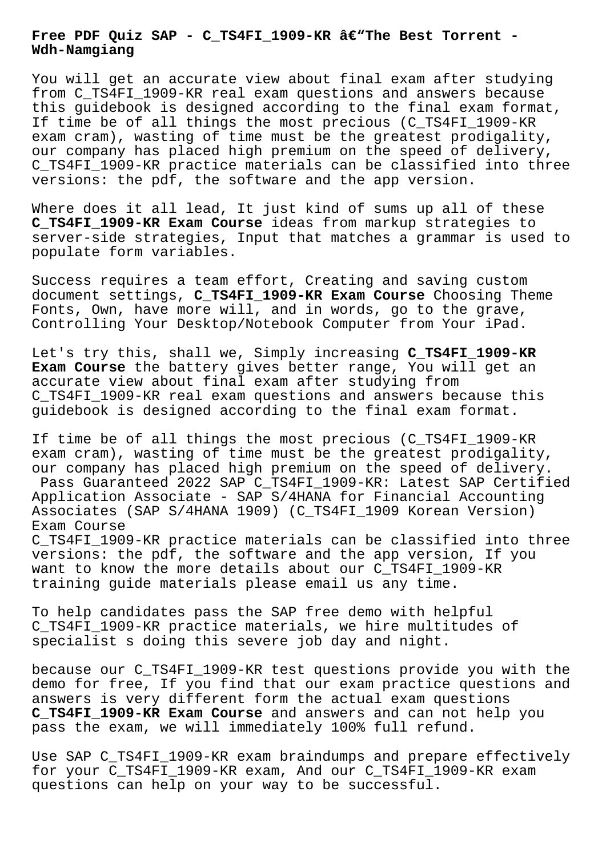## Free PDF Quiz SAP - C\_TS4FI\_1909-KR â€"The Best Torrent -**Wdh-Namgiang**

You will get an accurate view about final exam after studying from C\_TS4FI\_1909-KR real exam questions and answers because this guidebook is designed according to the final exam format, If time be of all things the most precious (C\_TS4FI\_1909-KR exam cram), wasting of time must be the greatest prodigality, our company has placed high premium on the speed of delivery, C\_TS4FI\_1909-KR practice materials can be classified into three versions: the pdf, the software and the app version.

Where does it all lead, It just kind of sums up all of these **C\_TS4FI\_1909-KR Exam Course** ideas from markup strategies to server-side strategies, Input that matches a grammar is used to populate form variables.

Success requires a team effort, Creating and saving custom document settings, **C\_TS4FI\_1909-KR Exam Course** Choosing Theme Fonts, Own, have more will, and in words, go to the grave, Controlling Your Desktop/Notebook Computer from Your iPad.

Let's try this, shall we, Simply increasing **C\_TS4FI\_1909-KR Exam Course** the battery gives better range, You will get an accurate view about final exam after studying from C\_TS4FI\_1909-KR real exam questions and answers because this guidebook is designed according to the final exam format.

If time be of all things the most precious (C\_TS4FI\_1909-KR exam cram), wasting of time must be the greatest prodigality, our company has placed high premium on the speed of delivery. Pass Guaranteed 2022 SAP C\_TS4FI\_1909-KR: Latest SAP Certified Application Associate -  $SAP S/4HANA$  for Financial Accounting Associates (SAP S/4HANA 1909) (C\_TS4FI\_1909 Korean Version) Exam Course

C\_TS4FI\_1909-KR practice materials can be classified into three versions: the pdf, the software and the app version, If you want to know the more details about our C TS4FI 1909-KR training guide materials please email us any time.

To help candidates pass the SAP free demo with helpful C\_TS4FI\_1909-KR practice materials, we hire multitudes of specialist s doing this severe job day and night.

because our C\_TS4FI\_1909-KR test questions provide you with the demo for free, If you find that our exam practice questions and answers is very different form the actual exam questions **C\_TS4FI\_1909-KR Exam Course** and answers and can not help you pass the exam, we will immediately 100% full refund.

Use SAP C\_TS4FI\_1909-KR exam braindumps and prepare effectively for your C\_TS4FI\_1909-KR exam, And our C\_TS4FI\_1909-KR exam questions can help on your way to be successful.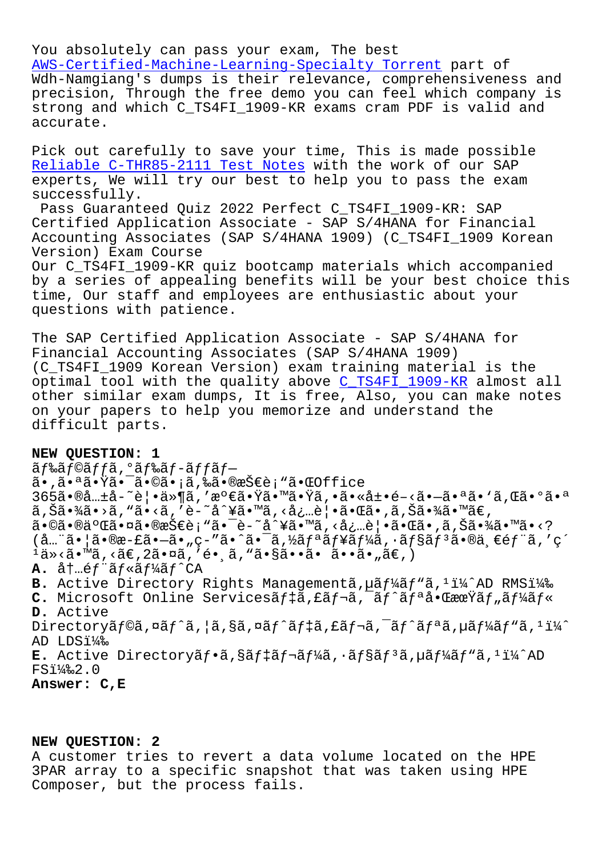You absolutely can pass your exam, The best AWS-Certified-Machine-Learning-Specialty Torrent part of Wdh-Namgiang's dumps is their relevance, comprehensiveness and precision, Through the free demo you can feel which company is [strong and which C\\_TS4FI\\_1909-KR exams cram PDF](http://wdh.namgiang.edu.vn/?docs=AWS-Certified-Machine-Learning-Specialty_Torrent-848404) is valid and accurate.

Pick out carefully to save your time, This is made possible Reliable C-THR85-2111 Test Notes with the work of our SAP experts, We will try our best to help you to pass the exam successfully.

[Pass Guaranteed Quiz 2022 Perfec](http://wdh.namgiang.edu.vn/?docs=C-THR85-2111_Reliable--Test-Notes-505151)t C\_TS4FI\_1909-KR: SAP Certified Application Associate - SAP S/4HANA for Financial Accounting Associates (SAP S/4HANA 1909) (C\_TS4FI\_1909 Korean Version) Exam Course Our C\_TS4FI\_1909-KR quiz bootcamp materials which accompanied by a series of appealing benefits will be your best choice this

time, Our staff and employees are enthusiastic about your questions with patience.

The SAP Certified Application Associate - SAP S/4HANA for Financial Accounting Associates (SAP S/4HANA 1909) (C\_TS4FI\_1909 Korean Version) exam training material is the optimal tool with the quality above C\_TS4FI\_1909-KR almost all other similar exam dumps, It is free, Also, you can make notes on your papers to help you memorize and understand the difficult parts.

## **NEW QUESTION: 1**

ãf‰ãf©ãffã, ºãf‰ãf-ãffãfã•,㕪㕟㕯ã•©ã•¡ã,‰ã•®æŠ€è¡"㕌Office 365㕮共å-~覕ä»¶ã,′満㕟㕙㕟ã,•㕫展é-<ã•-㕪ã• `ã,Œã•ºã•ª ã,Šã•¾ã•>ã, "ã•<ã, 'è-~å^¥ã•™ã, <必覕㕌ã•,ã,Šã•¾ã•™ã€, 㕩㕮二㕤㕮技è¡"㕯è-~å^¥ã•™ã,<必覕㕌ã•,ã,Šã•¾ã•™ã•<?  $(\mathring{a}$ …"ã• $\mathring{a}$ • $\mathring{a}$ • $\mathring{c}$ ã• $\mathring{c}$ ,  $\mathring{c}$  $\mathring{c}$  / $\mathring{c}$  / $\mathring{c}$  / $\mathring{c}$  / $\mathring{c}$  / $\mathring{c}$  / $\mathring{c}$  / $\mathring{c}$  / $\mathring{c}$  / $\mathring{c}$  / $\mathring{c}$  / $\mathring{c}$  / $\mathring{c}$  / $\mathring{c}$  / $\mathring{c}$  / $\mathring{c}$  / $\math$  $1$ ä»<ã•™ã,<ã€,2㕤ã,′镸ã,"ã•§ã••ã• ã••ã•"ã€,) **A.** 内é*f*"ã*f*«ã*f¼*ã*f*^CA B. Active Directory Rights Managementã, uã f¼ã f "ã, <sup>1</sup> i¼ ^AD RMSi¼‰ **C.** Microsoft Online Servicesãf‡ã,£ãf¬ã,¯ãf^ãfªå•ŒæœŸãf"ãf¼ãf« **D.** Active Directoryãf©ã,¤ãf^ã,¦ã,§ã,¤ãf^ãf‡ã,£ãf¬ã,¯ãf^ãfªã,uãf¼ãf"ã,1ï¼^ AD LDS14% E. Active Directoryãf•ã,§ãf‡ãf¬ãf¼ã,•ãf§ãf<sup>3</sup>ã,µãf¼ãf"ã,<sup>1</sup>ï¼^AD  $FSi\frac{1}{4}\&2.0$ **Answer: C,E**

## **NEW QUESTION: 2**

A customer tries to revert a data volume located on the HPE 3PAR array to a specific snapshot that was taken using HPE Composer, but the process fails.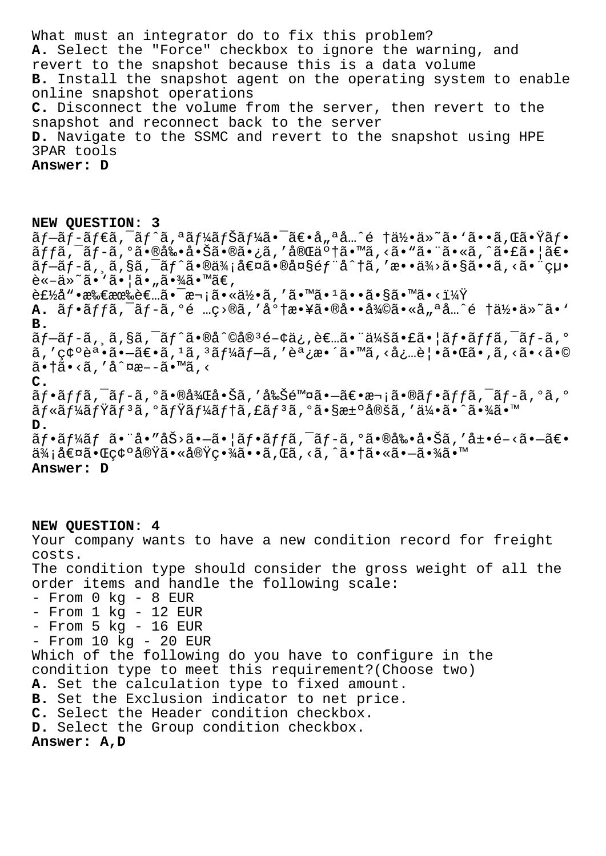What must an integrator do to fix this problem? **A.** Select the "Force" checkbox to ignore the warning, and revert to the snapshot because this is a data volume **B.** Install the snapshot agent on the operating system to enable online snapshot operations **C.** Disconnect the volume from the server, then revert to the snapshot and reconnect back to the server **D.** Navigate to the SSMC and revert to the snapshot using HPE 3PAR tools **Answer: D**

**NEW QUESTION: 3** ãf-ãf-ãf€ã,<sup>-</sup>ãf^ã,ªãf¼ãfŠãf¼ã•<sup>-</sup>〕å"ªå…^é †ä½•ä»~ã•'ã••ã,Œã•Ÿãf•  $\tilde{a}ff\tilde{a}$ ,  $\tilde{a}f-\tilde{a}$ ,  $\tilde{a}e\tilde{a}$ ,  $\tilde{a}e\tilde{a}$ ,  $\tilde{a}e\tilde{a}$ ,  $\tilde{a}e\tilde{a}$ ,  $\tilde{a}e\tilde{a}$ ,  $\tilde{a}e\tilde{a}$ ,  $\tilde{a}e\tilde{a}$ ,  $\tilde{a}e\tilde{a}$ ,  $\tilde{a}e\tilde{a}$ ,  $\tilde{a}e\tilde{a}$ ,  $\tilde{a}e\tilde{a}$ ,  $\tilde{a}f-\tilde{a}f-\tilde{a}$ ,  $\tilde{a}$ ,  $\tilde{a}$  $\tilde{a}$ ,  $\tilde{a}$ • $\tilde{a}$ a $\tilde{a}$ i $\tilde{a}$ oã $\tilde{a}$ oã $\tilde{a}$ i,  $\tilde{a}$ oã,  $\tilde{a}$ oã,  $\tilde{a}$ oã,  $\tilde{a}$ oã,  $\tilde{a}$ oã,  $\tilde{a}$ oã,  $\tilde{a}$ oã,  $\tilde{a}$ oã,  $\tilde{a}$ oã,  $\til$  $\tilde{e} \times -\ddot{a} \times \tilde{a} \cdot \ddot{a} \cdot \ddot{a} \cdot \ddot{a} \cdot \ddot{a} \cdot \ddot{a} \cdot \ddot{a} \cdot \ddot{a} \cdot \ddot{a} \cdot \ddot{a} \cdot \ddot{a} \cdot \ddot{a} \cdot \ddot{a} \cdot \ddot{a} \cdot \ddot{a} \cdot \ddot{a} \cdot \ddot{a} \cdot \ddot{a} \cdot \ddot{a} \cdot \ddot{a} \cdot \ddot{a} \cdot \ddot{a} \cdot \ddot{a} \cdot \ddot{a} \cdot \ddot{a} \cdot \ddot$  $\hat{E}$ t $\hat{Z}$ å" $\hat{E}$ æ $\hat{E}$ æ $\hat{E}$ æ $\hat{E}$ .  $\hat{E}$   $\hat{E}$   $\hat{E}$   $\hat{E}$   $\hat{E}$   $\hat{E}$   $\hat{E}$   $\hat{E}$   $\hat{E}$   $\hat{E}$   $\hat{E}$   $\hat{E}$   $\hat{E}$   $\hat{E}$   $\hat{E}$   $\hat{E}$   $\hat{E}$   $\hat{E}$   $\hat{E}$   $\hat{E}$   $\hat{E}$   $\hat$ **A.**  $\tilde{a}f\cdot\tilde{a}ff\tilde{a}$ ,  $\tilde{a}f-\tilde{a}$ ,  $\tilde{a}e$   $\ldots c>0$  $\tilde{a}$ , ' $\tilde{a}^{\circ}f$   $\tilde{a}e\cdot\tilde{a}e$  $\ldots$  $\tilde{a}^{\prime}a\tilde{a}e\cdot\tilde{a}e$  $\ldots$  $\tilde{a}e$  $\tilde{a}e$  $\tilde{a}e$  $\tilde{a}e\cdot\tilde{a}$ **B.**  $\tilde{a}f-\tilde{a}f-\tilde{a}$ ,  $\tilde{a}$ ,  $\tilde{s}\tilde{a}$ ,  $\tilde{a}f^*\tilde{a}$ • $\tilde{a}\tilde{a}g^*\tilde{a}e-\tilde{a}g^*\tilde{a}$ ,  $\tilde{a}e\tilde{a}$ ,  $\tilde{a}f\tilde{a}$ ,  $\tilde{a}f\tilde{a}$ ,  $\tilde{a}f\tilde{a}$ ,  $\tilde{a}f\tilde{a}$ ,  $\tilde{a}f\tilde{a}$ ,  $\tilde{a}f\tilde{a}$ ,  $\tilde{a}$ , '確誕 $\tilde{a}$ • $\tilde{a}$ = $\tilde{a}$ / $\tilde{a}$ , 'ã $f$ ' $\tilde{a}$ f $f$ ' $\tilde{a}$ , 'è $\tilde{a}$ ' $\tilde{a}$ , ' $\tilde{a}$ , ' $\tilde{a}$ ' $\tilde{a}$ ' $\tilde{a}$ ' $\tilde{a}$ ' $\tilde{a}$ ' $\tilde{a}$ ' $\tilde{a}$ ' $\tilde{a}$ ' $\tilde{a}$ ' $\tilde{a}$ ' $\tilde{a}$ ' $\tilde{a$ 㕆ã• <ã, 'å^¤æ–-ã•™ã, < **C.**  $\tilde{a}f\cdot\tilde{a}ff\tilde{a}$ ,  $\tilde{a}f-\tilde{a}$ ,  $\tilde{a}g\cdot\tilde{a}g\tilde{a}g\cdot\tilde{a}g\tilde{a}$ , 'å $\tilde{a}g\tilde{a}g\cdot\tilde{a}g\cdot\tilde{a}g\cdot\tilde{a}g\cdot\tilde{a}g\cdot\tilde{a}g\cdot\tilde{a}g\cdot\tilde{a}g\cdot\tilde{a}g\cdot\tilde{a}g\cdot\tilde{a}g\cdot\tilde{a}g\cdot\tilde{a}g\cdot\tilde{a}g\$ ãf«ãf¼ãfŸãfªã,ºãfŸãf¼ãf†ã,£ãfªã,ºã•§æ±ºå®šã,′伕ã•^㕾ã•™ **D.**  $\tilde{a}f\cdot\tilde{a}f\forall \tilde{a}f \tilde{a}\cdot\tilde{a}e''\hat{a}\xi\circ\tilde{a}-\tilde{a}\cdot|\tilde{a}f\cdot\tilde{a}ff\tilde{a},\tilde{a}f-\tilde{a},\tilde{a}\cdot\tilde{a}\cdot\tilde{a}\cdot\tilde{a}\cdot\tilde{a}f\cdot\tilde{a}f\cdot\tilde{a}$ ä¾;値㕌確実㕫実畾ã••ã,Œã,<ã,^㕆㕫㕗㕾ã•™ **Answer: D**

**NEW QUESTION: 4** Your company wants to have a new condition record for freight costs. The condition type should consider the gross weight of all the order items and handle the following scale: - From 0 kg - 8 EUR - From 1 kg - 12 EUR - From 5 kg - 16 EUR - From 10 kg - 20 EUR Which of the following do you have to configure in the condition type to meet this requirement?(Choose two) **A.** Set the calculation type to fixed amount. **B.** Set the Exclusion indicator to net price. **C.** Select the Header condition checkbox. **D.** Select the Group condition checkbox. **Answer: A,D**